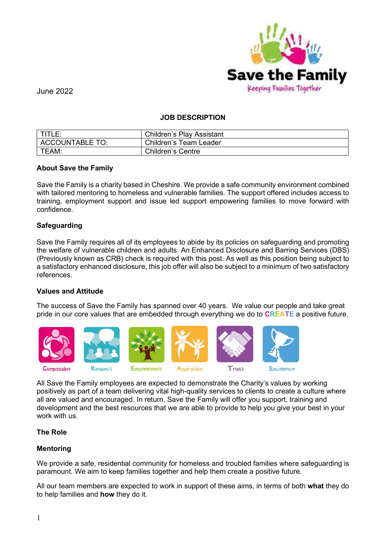

#### JOB DESCRIPTION

| TITLE:          | <b>Children's Play Assistant</b> |
|-----------------|----------------------------------|
| ACCOUNTABLE TO: | Children's Team Leader           |
| TEAM:           | <b>Children's Centre</b>         |

## About Save the Family

Save the Family is a charity based in Cheshire. We provide a safe community environment combined with tailored mentoring to homeless and vulnerable families. The support offered includes access to training, employment support and issue led support empowering families to move forward with confidence.

#### **Safequarding**

Save the Family requires all of its employees to abide by its policies on safeguarding and promoting the welfare of vulnerable children and adults. An Enhanced Disclosure and Barring Services (DBS) (Previously known as CRB) check is required with this post. As well as this position being subject to a satisfactory enhanced disclosure, this job offer will also be subject to a minimum of two satisfactory references.

## Values and Attitude

The success of Save the Family has spanned over 40 years. We value our people and take great pride in our core values that are embedded through everything we do to **CREATE** a positive future.



All Save the Family employees are expected to demonstrate the Charity's values by working positively as part of a team delivering vital high-quality services to clients to create a culture where all are valued and encouraged. In return, Save the Family will offer you support, training and development and the best resources that we are able to provide to help you give your best in your work with us.

#### The Role

## Mentoring

We provide a safe, residential community for homeless and troubled families where safeguarding is paramount. We aim to keep families together and help them create a positive future.

All our team members are expected to work in support of these aims, in terms of both what they do to help families and how they do it.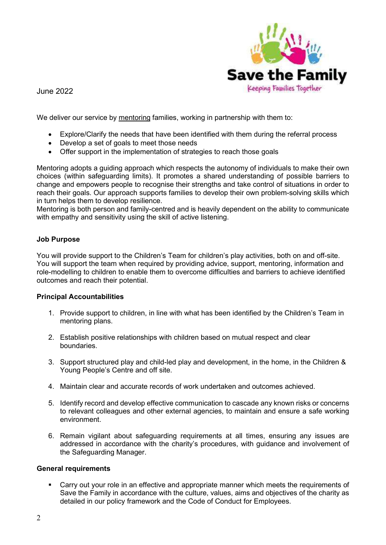

We deliver our service by mentoring families, working in partnership with them to:

- Explore/Clarify the needs that have been identified with them during the referral process
- Develop a set of goals to meet those needs
- Offer support in the implementation of strategies to reach those goals

Mentoring adopts a guiding approach which respects the autonomy of individuals to make their own choices (within safeguarding limits). It promotes a shared understanding of possible barriers to change and empowers people to recognise their strengths and take control of situations in order to reach their goals. Our approach supports families to develop their own problem-solving skills which in turn helps them to develop resilience.

Mentoring is both person and family-centred and is heavily dependent on the ability to communicate with empathy and sensitivity using the skill of active listening.

## Job Purpose

You will provide support to the Children's Team for children's play activities, both on and off-site. You will support the team when required by providing advice, support, mentoring, information and role-modelling to children to enable them to overcome difficulties and barriers to achieve identified outcomes and reach their potential.

## Principal Accountabilities

- 1. Provide support to children, in line with what has been identified by the Children's Team in mentoring plans.
- 2. Establish positive relationships with children based on mutual respect and clear boundaries.
- 3. Support structured play and child-led play and development, in the home, in the Children & Young People's Centre and off site.
- 4. Maintain clear and accurate records of work undertaken and outcomes achieved.
- 5. Identify record and develop effective communication to cascade any known risks or concerns to relevant colleagues and other external agencies, to maintain and ensure a safe working environment.
- 6. Remain vigilant about safeguarding requirements at all times, ensuring any issues are addressed in accordance with the charity's procedures, with guidance and involvement of the Safeguarding Manager.

#### General requirements

 Carry out your role in an effective and appropriate manner which meets the requirements of Save the Family in accordance with the culture, values, aims and objectives of the charity as detailed in our policy framework and the Code of Conduct for Employees.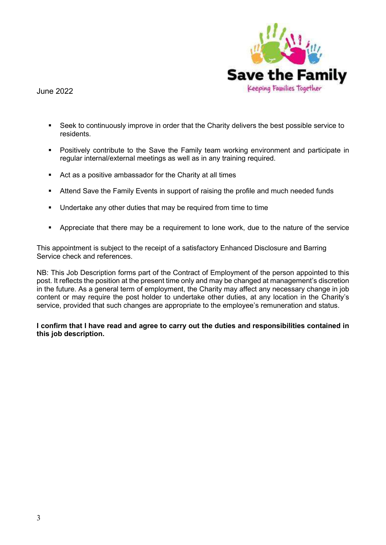

- Seek to continuously improve in order that the Charity delivers the best possible service to residents.
- Positively contribute to the Save the Family team working environment and participate in regular internal/external meetings as well as in any training required.
- Act as a positive ambassador for the Charity at all times
- **Attend Save the Family Events in support of raising the profile and much needed funds**
- Undertake any other duties that may be required from time to time
- **•** Appreciate that there may be a requirement to lone work, due to the nature of the service

This appointment is subject to the receipt of a satisfactory Enhanced Disclosure and Barring Service check and references.

NB: This Job Description forms part of the Contract of Employment of the person appointed to this post. It reflects the position at the present time only and may be changed at management's discretion in the future. As a general term of employment, the Charity may affect any necessary change in job content or may require the post holder to undertake other duties, at any location in the Charity's service, provided that such changes are appropriate to the employee's remuneration and status.

I confirm that I have read and agree to carry out the duties and responsibilities contained in this job description.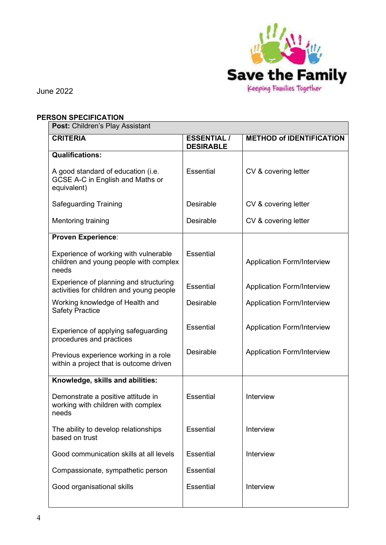

# PERSON SPECIFICATION

| <b>Post: Children's Play Assistant</b>                                                   |                                        |                                   |  |  |
|------------------------------------------------------------------------------------------|----------------------------------------|-----------------------------------|--|--|
| <b>CRITERIA</b>                                                                          | <b>ESSENTIAL /</b><br><b>DESIRABLE</b> | <b>METHOD of IDENTIFICATION</b>   |  |  |
| <b>Qualifications:</b>                                                                   |                                        |                                   |  |  |
| A good standard of education (i.e.<br>GCSE A-C in English and Maths or<br>equivalent)    | <b>Essential</b>                       | CV & covering letter              |  |  |
| <b>Safeguarding Training</b>                                                             | Desirable                              | CV & covering letter              |  |  |
| Mentoring training                                                                       | <b>Desirable</b>                       | CV & covering letter              |  |  |
| <b>Proven Experience:</b>                                                                |                                        |                                   |  |  |
| Experience of working with vulnerable<br>children and young people with complex<br>needs | <b>Essential</b>                       | <b>Application Form/Interview</b> |  |  |
| Experience of planning and structuring<br>activities for children and young people       | <b>Essential</b>                       | <b>Application Form/Interview</b> |  |  |
| Working knowledge of Health and<br><b>Safety Practice</b>                                | Desirable                              | <b>Application Form/Interview</b> |  |  |
| Experience of applying safeguarding<br>procedures and practices                          | <b>Essential</b>                       | <b>Application Form/Interview</b> |  |  |
| Previous experience working in a role<br>within a project that is outcome driven         | <b>Desirable</b>                       | <b>Application Form/Interview</b> |  |  |
| Knowledge, skills and abilities:                                                         |                                        |                                   |  |  |
| Demonstrate a positive attitude in<br>working with children with complex<br>needs        | <b>Essential</b>                       | Interview                         |  |  |
| The ability to develop relationships<br>based on trust                                   | Essential                              | Interview                         |  |  |
| Good communication skills at all levels                                                  | <b>Essential</b>                       | Interview                         |  |  |
| Compassionate, sympathetic person                                                        | <b>Essential</b>                       |                                   |  |  |
| Good organisational skills                                                               | Essential                              | Interview                         |  |  |
|                                                                                          |                                        |                                   |  |  |